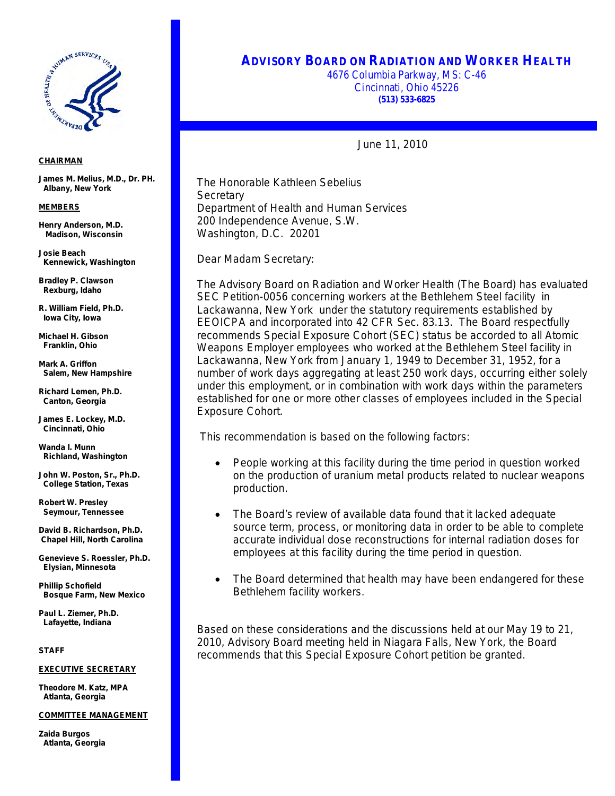

## **ADVISORY BOARD ON RADIATION AND WORKER HEALTH**

4676 Columbia Parkway, MS: C-46 Cincinnati, Ohio 45226 **(513) 533-6825**

June 11, 2010

 Department of Health and Human Services The Honorable Kathleen Sebelius **Secretary** 200 Independence Avenue, S.W. Washington, D.C. 20201

Dear Madam Secretary:

The Advisory Board on Radiation and Worker Health (The Board) has evaluated SEC Petition-0056 concerning workers at the Bethlehem Steel facility in Lackawanna, New York under the statutory requirements established by EEOICPA and incorporated into 42 CFR Sec. 83.13. The Board respectfully recommends Special Exposure Cohort (SEC) status be accorded to all Atomic Weapons Employer employees who worked at the Bethlehem Steel facility in Lackawanna, New York from January 1, 1949 to December 31, 1952, for a number of work days aggregating at least 250 work days, occurring either solely under this employment, or in combination with work days within the parameters established for one or more other classes of employees included in the Special Exposure Cohort.

This recommendation is based on the following factors:

- People working at this facility during the time period in question worked on the production of uranium metal products related to nuclear weapons production.
- The Board's review of available data found that it lacked adequate source term, process, or monitoring data in order to be able to complete accurate individual dose reconstructions for internal radiation doses for employees at this facility during the time period in question.
- The Board determined that health may have been endangered for these Bethlehem facility workers.

Based on these considerations and the discussions held at our May 19 to 21, 2010, Advisory Board meeting held in Niagara Falls, New York, the Board recommends that this Special Exposure Cohort petition be granted.

## *CHAIRMAN*

**James M. Melius, M.D., Dr. PH. Albany, New York**

## *MEMBERS*

**Henry Anderson, M.D. Madison, Wisconsin**

**Josie Beach Kennewick, Washington** 

**Bradley P. Clawson Rexburg, Idaho**

**R. William Field, Ph.D. Iowa City, Iowa**

**Michael H. Gibson Franklin, Ohio**

**Mark A. Griffon Salem, New Hampshire**

**Richard Lemen, Ph.D. Canton, Georgia**

**James E. Lockey, M.D. Cincinnati, Ohio**

**Wanda I. Munn Richland, Washington**

**John W. Poston, Sr., Ph.D. College Station, Texas**

**Robert W. Presley Seymour, Tennessee**

**David B. Richardson, Ph.D. Chapel Hill, North Carolina**

**Genevieve S. Roessler, Ph.D. Elysian, Minnesota**

**Phillip Schofield Bosque Farm, New Mexico**

**Paul L. Ziemer, Ph.D. Lafayette, Indiana**

*STAFF*

*EXECUTIVE SECRETARY*

**Theodore M. Katz, MPA Atlanta, Georgia**

*COMMITTEE MANAGEMENT* 

**Zaida Burgos Atlanta, Georgia**